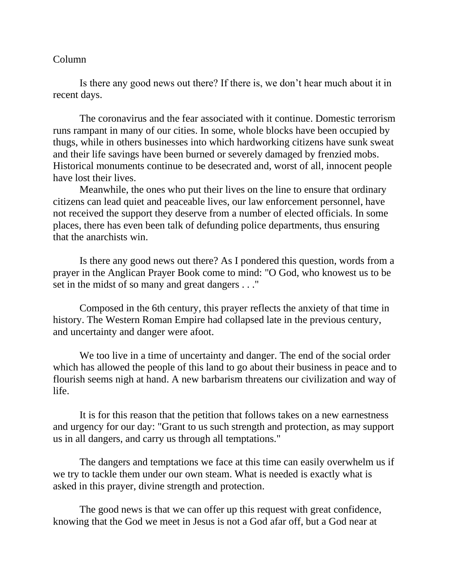## Column

Is there any good news out there? If there is, we don't hear much about it in recent days.

The coronavirus and the fear associated with it continue. Domestic terrorism runs rampant in many of our cities. In some, whole blocks have been occupied by thugs, while in others businesses into which hardworking citizens have sunk sweat and their life savings have been burned or severely damaged by frenzied mobs. Historical monuments continue to be desecrated and, worst of all, innocent people have lost their lives.

Meanwhile, the ones who put their lives on the line to ensure that ordinary citizens can lead quiet and peaceable lives, our law enforcement personnel, have not received the support they deserve from a number of elected officials. In some places, there has even been talk of defunding police departments, thus ensuring that the anarchists win.

Is there any good news out there? As I pondered this question, words from a prayer in the Anglican Prayer Book come to mind: "O God, who knowest us to be set in the midst of so many and great dangers . . ."

Composed in the 6th century, this prayer reflects the anxiety of that time in history. The Western Roman Empire had collapsed late in the previous century, and uncertainty and danger were afoot.

We too live in a time of uncertainty and danger. The end of the social order which has allowed the people of this land to go about their business in peace and to flourish seems nigh at hand. A new barbarism threatens our civilization and way of life.

It is for this reason that the petition that follows takes on a new earnestness and urgency for our day: "Grant to us such strength and protection, as may support us in all dangers, and carry us through all temptations."

The dangers and temptations we face at this time can easily overwhelm us if we try to tackle them under our own steam. What is needed is exactly what is asked in this prayer, divine strength and protection.

The good news is that we can offer up this request with great confidence, knowing that the God we meet in Jesus is not a God afar off, but a God near at